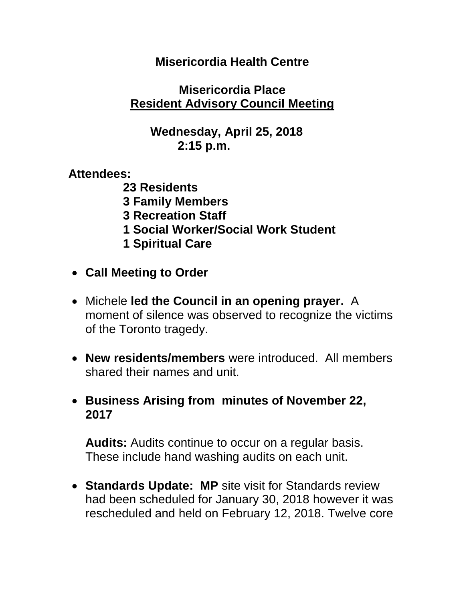#### **Misericordia Health Centre**

#### **Misericordia Place Resident Advisory Council Meeting**

## **Wednesday, April 25, 2018 2:15 p.m.**

**Attendees:**

- **23 Residents 3 Family Members 3 Recreation Staff 1 Social Worker/Social Work Student 1 Spiritual Care**
- **Call Meeting to Order**
- Michele **led the Council in an opening prayer.** A moment of silence was observed to recognize the victims of the Toronto tragedy.
- **New residents/members** were introduced. All members shared their names and unit.
- **Business Arising from minutes of November 22, 2017**

**Audits:** Audits continue to occur on a regular basis. These include hand washing audits on each unit.

 **Standards Update: MP** site visit for Standards review had been scheduled for January 30, 2018 however it was rescheduled and held on February 12, 2018. Twelve core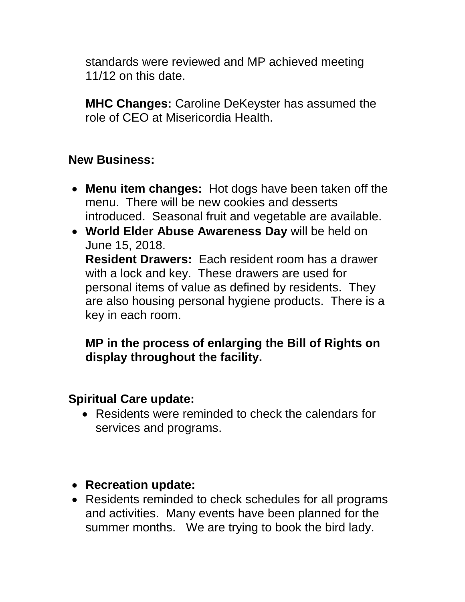standards were reviewed and MP achieved meeting 11/12 on this date.

**MHC Changes:** Caroline DeKeyster has assumed the role of CEO at Misericordia Health.

## **New Business:**

- **Menu item changes:** Hot dogs have been taken off the menu. There will be new cookies and desserts introduced. Seasonal fruit and vegetable are available.
- **World Elder Abuse Awareness Day** will be held on June 15, 2018. **Resident Drawers:** Each resident room has a drawer with a lock and key. These drawers are used for personal items of value as defined by residents. They are also housing personal hygiene products. There is a key in each room.

# **MP in the process of enlarging the Bill of Rights on display throughout the facility.**

#### **Spiritual Care update:**

- Residents were reminded to check the calendars for services and programs.
- **Recreation update:**
- Residents reminded to check schedules for all programs and activities. Many events have been planned for the summer months. We are trying to book the bird lady.